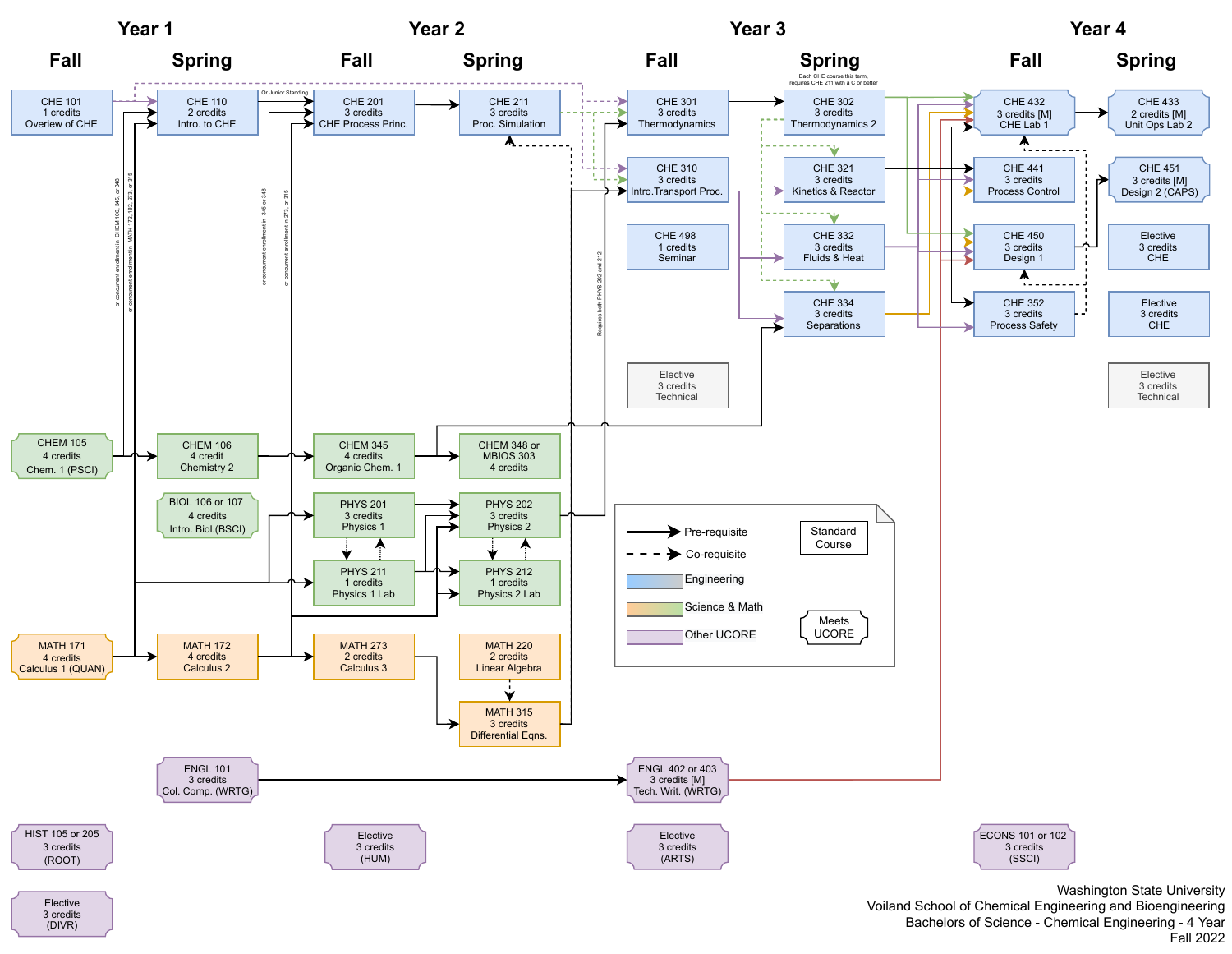

Elective 3 credits (DIVR)

Washington State University Voiland School of Chemical Engineering and Bioengineering Bachelors of Science - Chemical Engineering - 4 Year Fall 2022